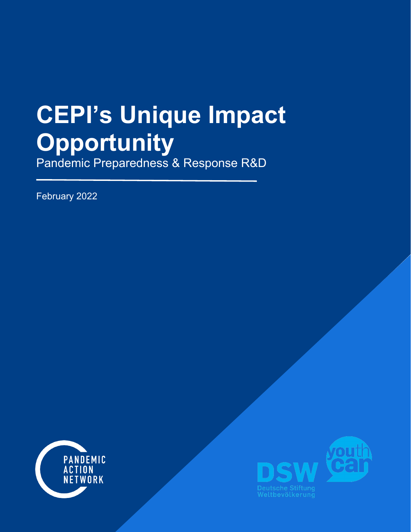# **CEPI's Unique Impact Opportunity**

Pandemic Preparedness & Response R&D

February 2022



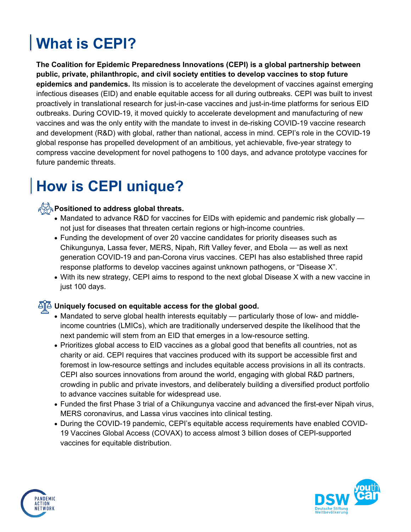# **What is CEPI?**

**The Coalition for Epidemic Preparedness Innovations (CEPI) is a global partnership between public, private, philanthropic, and civil society entities to develop vaccines to stop future epidemics and pandemics.** Its mission is to accelerate the development of vaccines against emerging infectious diseases (EID) and enable equitable access for all during outbreaks. CEPI was built to invest proactively in translational research for just-in-case vaccines and just-in-time platforms for serious EID outbreaks. During COVID-19, it moved quickly to accelerate development and manufacturing of new vaccines and was the only entity with the mandate to invest in de-risking COVID-19 vaccine research and development (R&D) with global, rather than national, access in mind. CEPI's role in the COVID-19 global response has propelled development of an ambitious, yet achievable, five-year strategy to compress vaccine development for novel pathogens to 100 days, and advance prototype vaccines for future pandemic threats.

## **How is CEPI unique?**

#### **Positioned to address global threats.**

- Mandated to advance R&D for vaccines for EIDs with epidemic and pandemic risk globally not just for diseases that threaten certain regions or high-income countries.
- Funding the development of over 20 vaccine candidates for priority diseases such as Chikungunya, Lassa fever, MERS, Nipah, Rift Valley fever, and Ebola — as well as next generation COVID-19 and pan-Corona virus vaccines. CEPI has also established three rapid response platforms to develop vaccines against unknown pathogens, or "Disease X".
- With its new strategy, CEPI aims to respond to the next global Disease X with a new vaccine in just 100 days.

#### $\overline{\Delta}$  Uniquely focused on equitable access for the global good.

- Mandated to serve global health interests equitably particularly those of low- and middleincome countries (LMICs), which are traditionally underserved despite the likelihood that the next pandemic will stem from an EID that emerges in a low-resource setting.
- Prioritizes global access to EID vaccines as a global good that benefits all countries, not as charity or aid. CEPI requires that vaccines produced with its support be accessible first and foremost in low-resource settings and includes equitable access provisions in all its contracts. CEPI also sources innovations from around the world, engaging with global R&D partners, crowding in public and private investors, and deliberately building a diversified product portfolio to advance vaccines suitable for widespread use.
- Funded the first Phase 3 trial of a Chikungunya vaccine and advanced the first-ever Nipah virus, MERS coronavirus, and Lassa virus vaccines into clinical testing.
- During the COVID-19 pandemic, CEPI's equitable access requirements have enabled COVID-19 Vaccines Global Access (COVAX) to access almost 3 billion doses of CEPI-supported vaccines for equitable distribution.



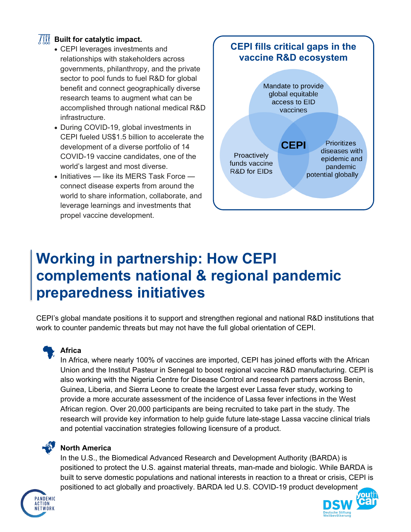#### **III** Built for catalytic impact.

- CEPI leverages investments and relationships with stakeholders across governments, philanthropy, and the private sector to pool funds to fuel R&D for global benefit and connect geographically diverse research teams to augment what can be accomplished through national medical R&D infrastructure.
- During COVID-19, global investments in CEPI fueled US\$1.5 billion to accelerate the development of a diverse portfolio of 14 COVID-19 vaccine candidates, one of the world's largest and most diverse.
- Initiatives like its MERS Task Force connect disease experts from around the world to share information, collaborate, and leverage learnings and investments that propel vaccine development.



### **Working in partnership: How CEPI complements national & regional pandemic preparedness initiatives**

CEPI's global mandate positions it to support and strengthen regional and national R&D institutions that work to counter pandemic threats but may not have the full global orientation of CEPI.



#### **Africa**

In Africa, where nearly 100% of vaccines are imported, CEPI has joined efforts with the African Union and the Institut Pasteur in Senegal to boost regional vaccine R&D manufacturing. CEPI is also working with the Nigeria Centre for Disease Control and research partners across Benin, Guinea, Liberia, and Sierra Leone to create the largest ever Lassa fever study, working to provide a more accurate assessment of the incidence of Lassa fever infections in the West African region. Over 20,000 participants are being recruited to take part in the study. The research will provide key information to help guide future late-stage Lassa vaccine clinical trials and potential vaccination strategies following licensure of a product.

#### **North America**

In the U.S., the Biomedical Advanced Research and Development Authority (BARDA) is positioned to protect the U.S. against material threats, man-made and biologic. While BARDA is built to serve domestic populations and national interests in reaction to a threat or crisis, CEPI is positioned to act globally and proactively. BARDA led U.S. COVID-19 product development